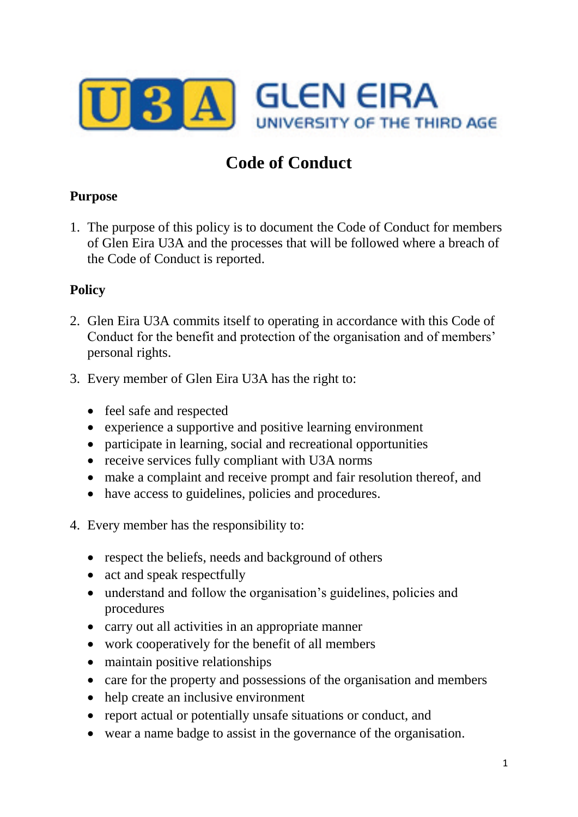

# **Code of Conduct**

### **Purpose**

1. The purpose of this policy is to document the Code of Conduct for members of Glen Eira U3A and the processes that will be followed where a breach of the Code of Conduct is reported.

## **Policy**

- 2. Glen Eira U3A commits itself to operating in accordance with this Code of Conduct for the benefit and protection of the organisation and of members' personal rights.
- 3. Every member of Glen Eira U3A has the right to:
	- feel safe and respected
	- experience a supportive and positive learning environment
	- participate in learning, social and recreational opportunities
	- receive services fully compliant with U3A norms
	- make a complaint and receive prompt and fair resolution thereof, and
	- have access to guidelines, policies and procedures.
- 4. Every member has the responsibility to:
	- respect the beliefs, needs and background of others
	- act and speak respectfully
	- understand and follow the organisation's guidelines, policies and procedures
	- carry out all activities in an appropriate manner
	- work cooperatively for the benefit of all members
	- maintain positive relationships
	- care for the property and possessions of the organisation and members
	- help create an inclusive environment
	- report actual or potentially unsafe situations or conduct, and
	- wear a name badge to assist in the governance of the organisation.